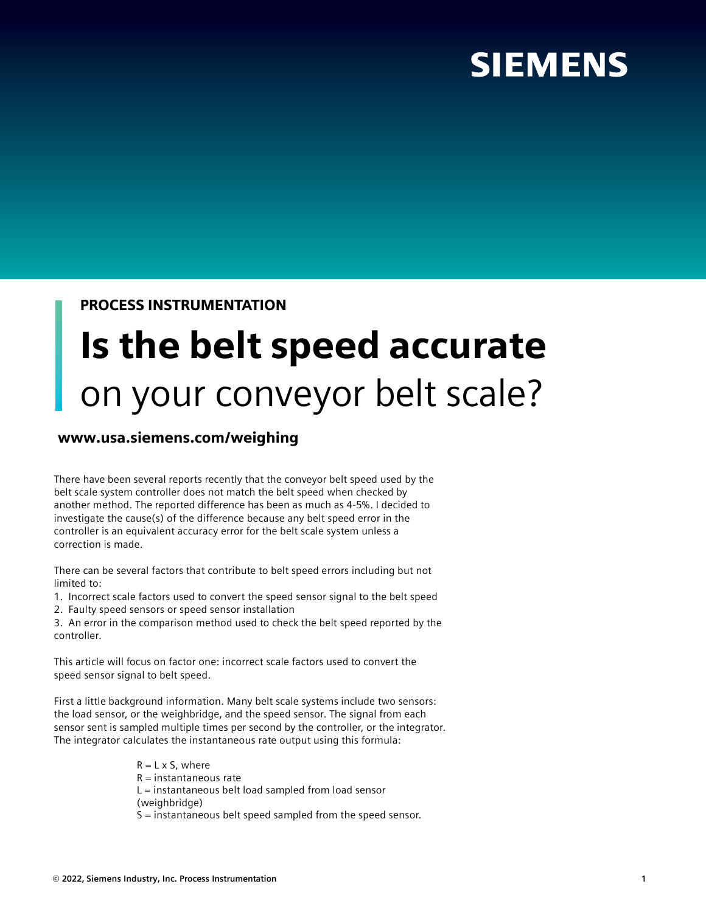## **SIEMENS**

### PROCESS INSTRUMENTATION

# Is the belt speed accurate on your conveyor belt scale?

### www.usa.siemens.com/weighing

There have been several reports recently that the conveyor belt speed used by the belt scale system controller does not match the belt speed when checked by another method. The reported difference has been as much as 4-5%. I decided to investigate the cause(s) of the difference because any belt speed error in the controller is an equivalent accuracy error for the belt scale system unless a correction is made.

There can be several factors that contribute to belt speed errors including but not limited to:

1. Incorrect scale factors used to convert the speed sensor signal to the belt speed

2. Faulty speed sensors or speed sensor installation

3. An error in the comparison method used to check the belt speed reported by the controller.

This article will focus on factor one: incorrect scale factors used to convert the speed sensor signal to belt speed.

First a little background information. Many belt scale systems include two sensors: the load sensor, or the weighbridge, and the speed sensor. The signal from each sensor sent is sampled multiple times per second by the controller, or the integrator. The integrator calculates the instantaneous rate output using this formula:

> $R = L \times S$ , where  $R =$  instantaneous rate L = instantaneous belt load sampled from load sensor (weighbridge) S = instantaneous belt speed sampled from the speed sensor.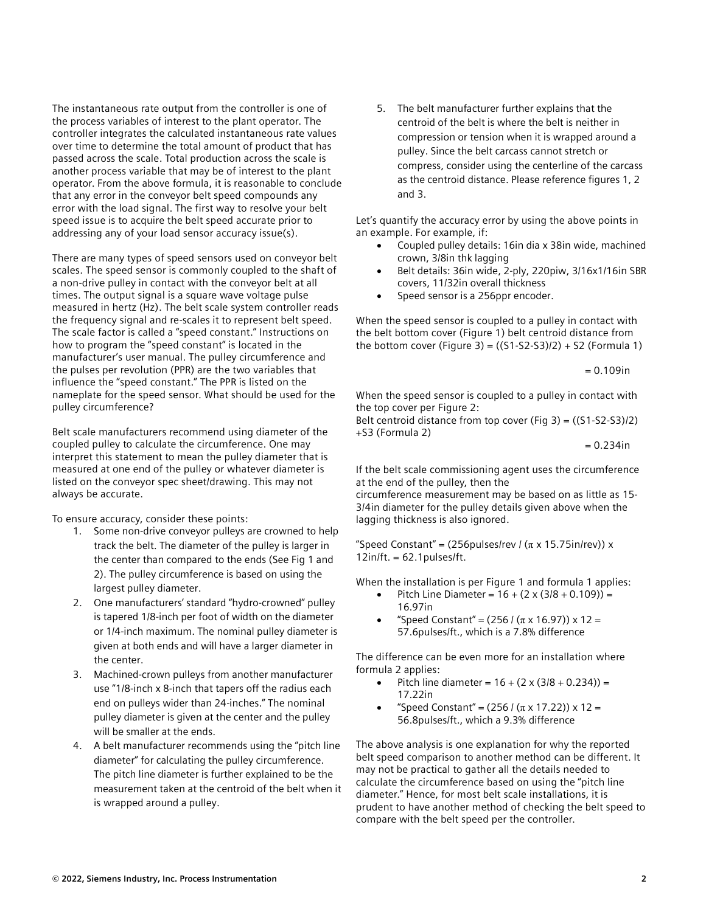The instantaneous rate output from the controller is one of the process variables of interest to the plant operator. The controller integrates the calculated instantaneous rate values over time to determine the total amount of product that has passed across the scale. Total production across the scale is another process variable that may be of interest to the plant operator. From the above formula, it is reasonable to conclude that any error in the conveyor belt speed compounds any error with the load signal. The first way to resolve your belt speed issue is to acquire the belt speed accurate prior to addressing any of your load sensor accuracy issue(s).

There are many types of speed sensors used on conveyor belt scales. The speed sensor is commonly coupled to the shaft of a non-drive pulley in contact with the conveyor belt at all times. The output signal is a square wave voltage pulse measured in hertz (Hz). The belt scale system controller reads the frequency signal and re-scales it to represent belt speed. The scale factor is called a "speed constant." Instructions on how to program the "speed constant" is located in the manufacturer's user manual. The pulley circumference and the pulses per revolution (PPR) are the two variables that influence the "speed constant." The PPR is listed on the nameplate for the speed sensor. What should be used for the pulley circumference?

Belt scale manufacturers recommend using diameter of the coupled pulley to calculate the circumference. One may interpret this statement to mean the pulley diameter that is measured at one end of the pulley or whatever diameter is listed on the conveyor spec sheet/drawing. This may not always be accurate.

To ensure accuracy, consider these points:

- 1. Some non-drive conveyor pulleys are crowned to help track the belt. The diameter of the pulley is larger in the center than compared to the ends (See Fig 1 and 2). The pulley circumference is based on using the largest pulley diameter.
- 2. One manufacturers' standard "hydro-crowned" pulley is tapered 1/8-inch per foot of width on the diameter or 1/4-inch maximum. The nominal pulley diameter is given at both ends and will have a larger diameter in the center.
- 3. Machined-crown pulleys from another manufacturer use "1/8-inch x 8-inch that tapers off the radius each end on pulleys wider than 24-inches." The nominal pulley diameter is given at the center and the pulley will be smaller at the ends.
- 4. A belt manufacturer recommends using the "pitch line diameter" for calculating the pulley circumference. The pitch line diameter is further explained to be the measurement taken at the centroid of the belt when it is wrapped around a pulley.

5. The belt manufacturer further explains that the centroid of the belt is where the belt is neither in compression or tension when it is wrapped around a pulley. Since the belt carcass cannot stretch or compress, consider using the centerline of the carcass as the centroid distance. Please reference figures 1, 2 and 3.

Let's quantify the accuracy error by using the above points in an example. For example, if:

- Coupled pulley details: 16in dia x 38in wide, machined crown, 3/8in thk lagging
- Belt details: 36in wide, 2-ply, 220piw, 3/16x1/16in SBR covers, 11/32in overall thickness
- Speed sensor is a 256ppr encoder.

When the speed sensor is coupled to a pulley in contact with the belt bottom cover (Figure 1) belt centroid distance from the bottom cover (Figure 3) =  $((S1-S2-S3)/2) + S2$  (Formula 1)

$$
= 0.109 in
$$

When the speed sensor is coupled to a pulley in contact with the top cover per Figure 2:

Belt centroid distance from top cover (Fig 3) = ((S1-S2-S3)/2) +S3 (Formula 2)

 $= 0.234$ in

If the belt scale commissioning agent uses the circumference at the end of the pulley, then the

circumference measurement may be based on as little as 15- 3/4in diameter for the pulley details given above when the lagging thickness is also ignored.

"Speed Constant" = (256pulses/rev /  $(\pi \times 15.75)$ in/rev)) x  $12in/ft. = 62.1pulses/ft.$ 

When the installation is per Figure 1 and formula 1 applies:

- Pitch Line Diameter =  $16 + (2 \times (3/8 + 0.109)) =$ 16.97in
- "Speed Constant" =  $(256 / (π × 16.97)) × 12 =$ 57.6pulses/ft., which is a 7.8% difference

The difference can be even more for an installation where formula 2 applies:

- Pitch line diameter =  $16 + (2 \times (3/8 + 0.234)) =$ 17.22in
- "Speed Constant" = (256 / (π x 17.22)) x 12 = 56.8pulses/ft., which a 9.3% difference

The above analysis is one explanation for why the reported belt speed comparison to another method can be different. It may not be practical to gather all the details needed to calculate the circumference based on using the "pitch line diameter." Hence, for most belt scale installations, it is prudent to have another method of checking the belt speed to compare with the belt speed per the controller.